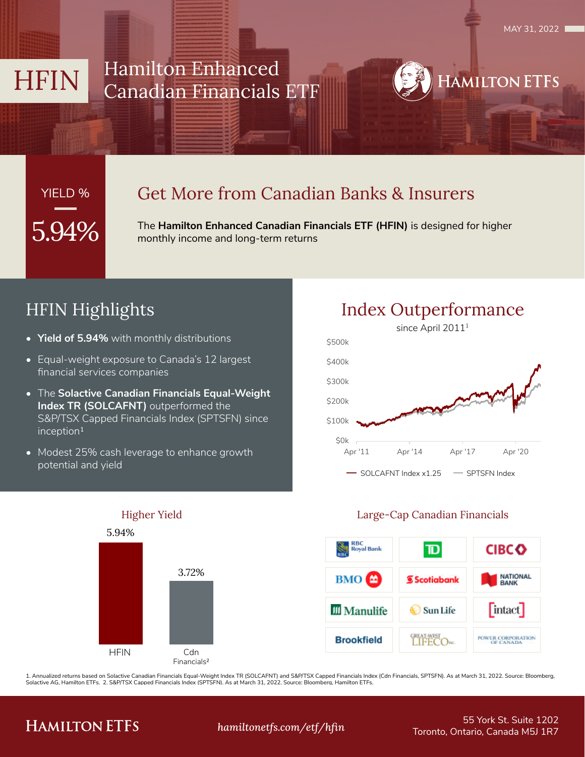HAMILTON ETFS

### HFIN Hamilton Enhanced Canadian Financials ETF

# YIELD %

### Get More from Canadian Banks & Insurers

**5.94%** The Hamilton Enhanced Canadian Financials ETF (HFIN) is designed for higher monthly income and long-term returns

### HFIN Highlights

- **• Yield of 5.94%** with monthly distributions
- Equal-weight exposure to Canada's 12 largest financial services companies
- The **Solactive Canadian Financials Equal-Weight Index TR (SOLCAFNT)** outperformed the S&P/TSX Capped Financials Index (SPTSFN) since  $inception<sup>1</sup>$
- Modest 25% cash leverage to enhance growth potential and yield





### Higher Yield Large-Cap Canadian Financials



1. Annualized returns based on Solactive Canadian Financials Equal-Weight Index TR (SOLCAFNT) and S&P/TSX Capped Financials Index (Cdn Financials, SPTSFN). As at March 31, 2022. Source: Bloomberg, Solactive AG, Hamilton ETFs. 2. S&P/TSX Capped Financials Index (SPTSFN). As at March 31, 2022. Source: Bloomberg, Hamilton ETFs.

### **HAMILTON ETFS**

55 York St. Suite 1202 Toronto, Ontario, Canada M5J 1R7 *hamiltonetfs.com/etf/hfin*